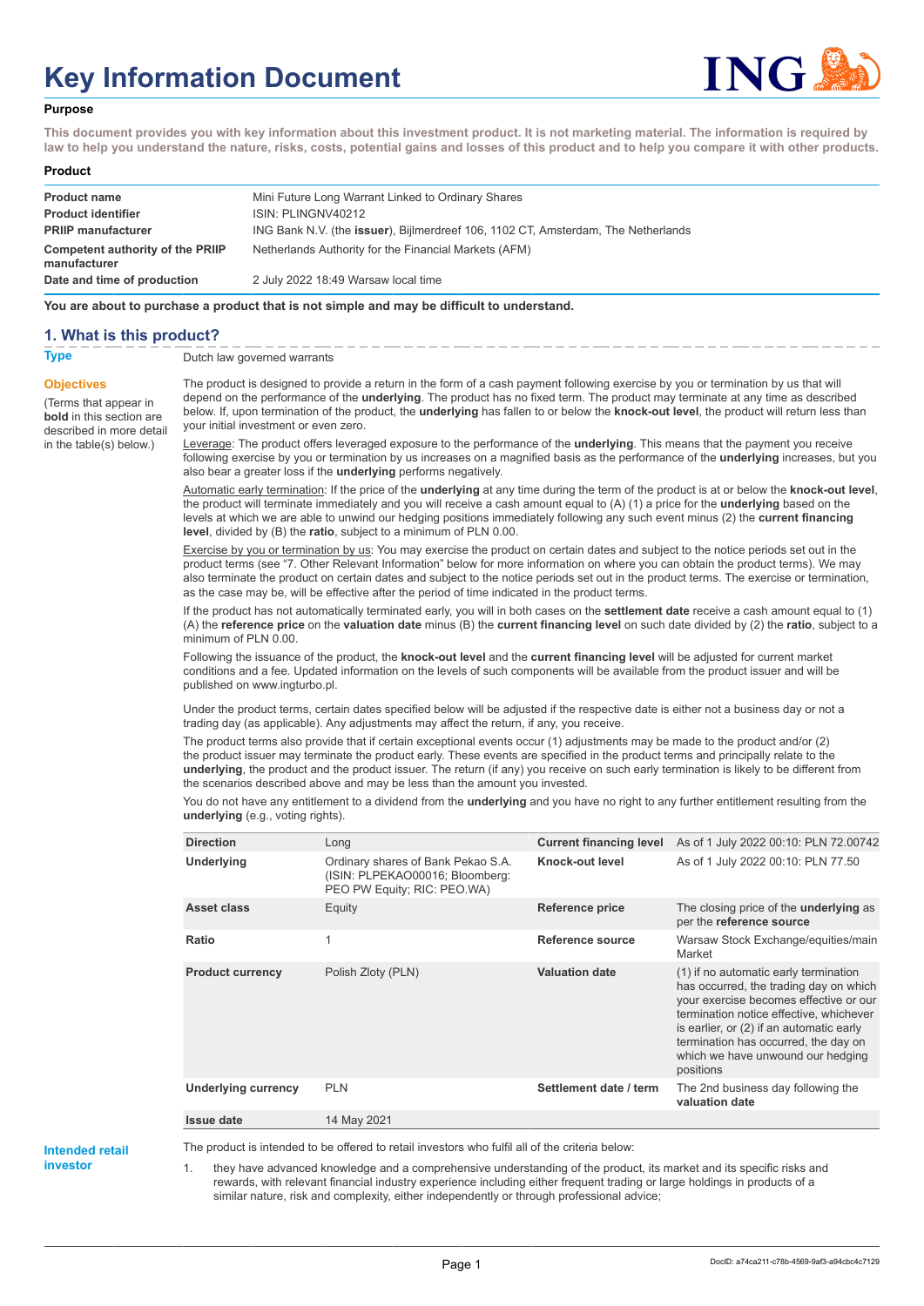# **Key Information Document**



#### **Purpose**

**This document provides you with key information about this investment product. It is not marketing material. The information is required by law to help you understand the nature, risks, costs, potential gains and losses of this product and to help you compare it with other products.**

#### **Product**

| <b>Product name</b><br><b>Product identifier</b> | Mini Future Long Warrant Linked to Ordinary Shares<br>ISIN: PLINGNV40212          |
|--------------------------------------------------|-----------------------------------------------------------------------------------|
| <b>PRIIP manufacturer</b>                        | ING Bank N.V. (the issuer), Bijlmerdreef 106, 1102 CT, Amsterdam, The Netherlands |
| Competent authority of the PRIIP<br>manufacturer | Netherlands Authority for the Financial Markets (AFM)                             |
| Date and time of production                      | 2 July 2022 18:49 Warsaw local time                                               |

**You are about to purchase a product that is not simple and may be difficult to understand.**

### **1. What is this product?**

**Objectives**

(Terms that appear in **bold** in this section are

in the table(s) below.)

**Type** Dutch law governed warrants

described in more detail The product is designed to provide a return in the form of a cash payment following exercise by you or termination by us that will depend on the performance of the **underlying**. The product has no fixed term. The product may terminate at any time as described below. If, upon termination of the product, the **underlying** has fallen to or below the **knock-out level**, the product will return less than your initial investment or even zero.

> Leverage: The product offers leveraged exposure to the performance of the **underlying**. This means that the payment you receive following exercise by you or termination by us increases on a magnified basis as the performance of the **underlying** increases, but you also bear a greater loss if the **underlying** performs negatively.

> Automatic early termination: If the price of the **underlying** at any time during the term of the product is at or below the **knock-out level**, the product will terminate immediately and you will receive a cash amount equal to (A) (1) a price for the **underlying** based on the levels at which we are able to unwind our hedging positions immediately following any such event minus (2) the **current financing level**, divided by (B) the **ratio**, subject to a minimum of PLN 0.00.

Exercise by you or termination by us: You may exercise the product on certain dates and subject to the notice periods set out in the product terms (see "7. Other Relevant Information" below for more information on where you can obtain the product terms). We may also terminate the product on certain dates and subject to the notice periods set out in the product terms. The exercise or termination, as the case may be, will be effective after the period of time indicated in the product terms.

If the product has not automatically terminated early, you will in both cases on the **settlement date** receive a cash amount equal to (1) (A) the **reference price** on the **valuation date** minus (B) the **current financing level** on such date divided by (2) the **ratio**, subject to a minimum of PLN 0.00.

Following the issuance of the product, the **knock-out level** and the **current financing level** will be adjusted for current market conditions and a fee. Updated information on the levels of such components will be available from the product issuer and will be published on www.ingturbo.pl.

Under the product terms, certain dates specified below will be adjusted if the respective date is either not a business day or not a trading day (as applicable). Any adjustments may affect the return, if any, you receive.

The product terms also provide that if certain exceptional events occur (1) adjustments may be made to the product and/or (2) the product issuer may terminate the product early. These events are specified in the product terms and principally relate to the **underlying**, the product and the product issuer. The return (if any) you receive on such early termination is likely to be different from the scenarios described above and may be less than the amount you invested.

You do not have any entitlement to a dividend from the **underlying** and you have no right to any further entitlement resulting from the **underlying** (e.g., voting rights).

| <b>Direction</b>           | Long                                                                                                 |                        | <b>Current financing level</b> As of 1 July 2022 00:10: PLN 72.00742                                                                                                                                                                                                                                       |
|----------------------------|------------------------------------------------------------------------------------------------------|------------------------|------------------------------------------------------------------------------------------------------------------------------------------------------------------------------------------------------------------------------------------------------------------------------------------------------------|
| Underlying                 | Ordinary shares of Bank Pekao S.A.<br>(ISIN: PLPEKAO00016; Bloomberg:<br>PEO PW Equity; RIC: PEO.WA) | Knock-out level        | As of 1 July 2022 00:10: PLN 77.50                                                                                                                                                                                                                                                                         |
| Asset class                | Equity                                                                                               | Reference price        | The closing price of the <b>underlying</b> as<br>per the reference source                                                                                                                                                                                                                                  |
| Ratio                      | 1                                                                                                    | Reference source       | Warsaw Stock Exchange/equities/main<br>Market                                                                                                                                                                                                                                                              |
| <b>Product currency</b>    | Polish Zloty (PLN)                                                                                   | <b>Valuation date</b>  | (1) if no automatic early termination<br>has occurred, the trading day on which<br>your exercise becomes effective or our<br>termination notice effective, whichever<br>is earlier, or (2) if an automatic early<br>termination has occurred, the day on<br>which we have unwound our hedging<br>positions |
| <b>Underlying currency</b> | <b>PLN</b>                                                                                           | Settlement date / term | The 2nd business day following the<br>valuation date                                                                                                                                                                                                                                                       |
| Issue date                 | 14 May 2021                                                                                          |                        |                                                                                                                                                                                                                                                                                                            |

**Intended retail investor**

The product is intended to be offered to retail investors who fulfil all of the criteria below:

1. they have advanced knowledge and a comprehensive understanding of the product, its market and its specific risks and rewards, with relevant financial industry experience including either frequent trading or large holdings in products of a similar nature, risk and complexity, either independently or through professional advice;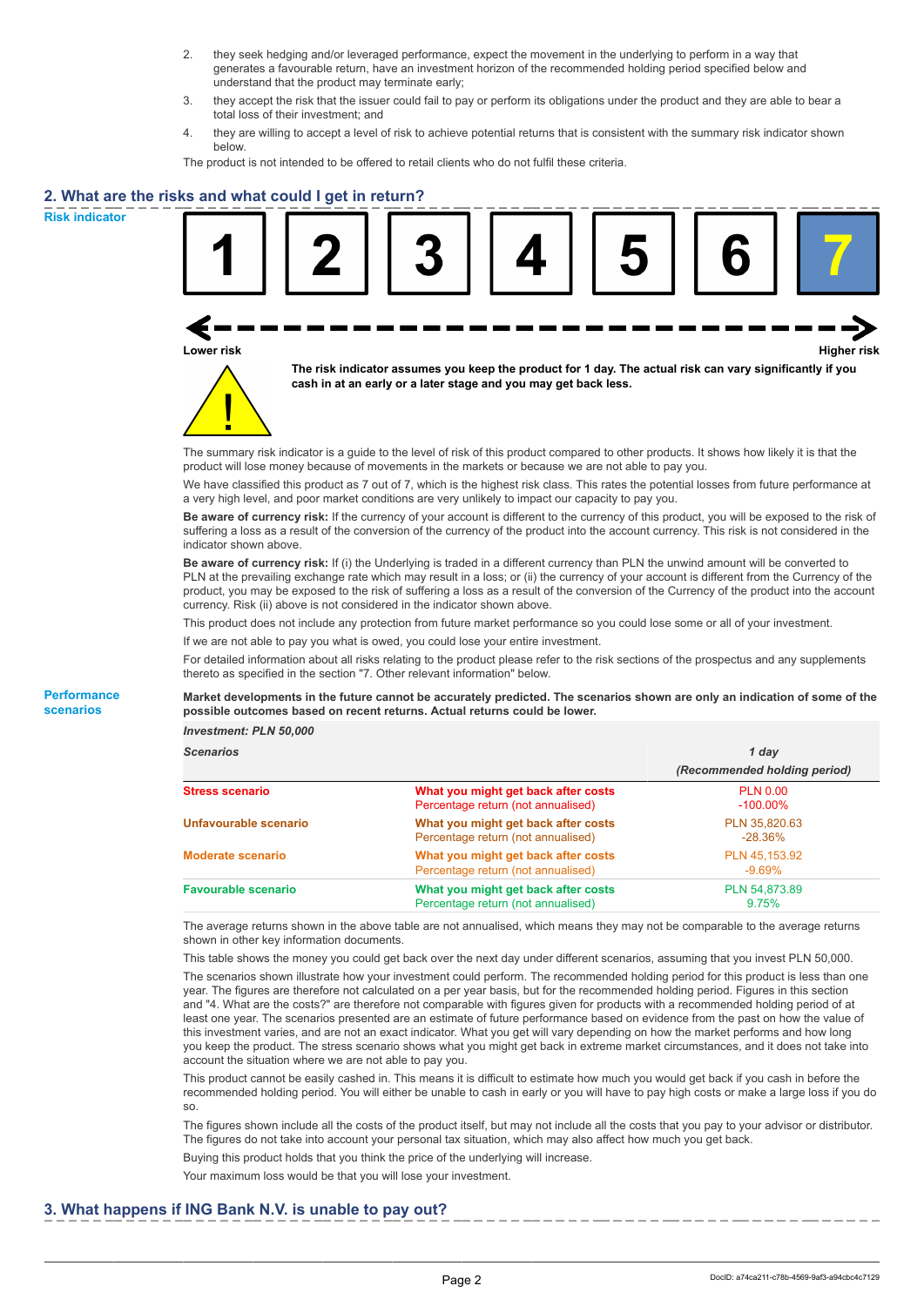- 2. they seek hedging and/or leveraged performance, expect the movement in the underlying to perform in a way that generates a favourable return, have an investment horizon of the recommended holding period specified below and understand that the product may terminate early;
- 3. they accept the risk that the issuer could fail to pay or perform its obligations under the product and they are able to bear a total loss of their investment; and
- 4. they are willing to accept a level of risk to achieve potential returns that is consistent with the summary risk indicator shown below.

The product is not intended to be offered to retail clients who do not fulfil these criteria.

## **2. What are the risks and what could I get in return?**

**Risk indicator**

**Performance scenarios**





**The risk indicator assumes you keep the product for 1 day. The actual risk can vary significantly if you cash in at an early or a later stage and you may get back less.**

The summary risk indicator is a guide to the level of risk of this product compared to other products. It shows how likely it is that the product will lose money because of movements in the markets or because we are not able to pay you.

We have classified this product as 7 out of 7, which is the highest risk class. This rates the potential losses from future performance at a very high level, and poor market conditions are very unlikely to impact our capacity to pay you.

**Be aware of currency risk:** If the currency of your account is different to the currency of this product, you will be exposed to the risk of suffering a loss as a result of the conversion of the currency of the product into the account currency. This risk is not considered in the indicator shown above.

**Be aware of currency risk:** If (i) the Underlying is traded in a different currency than PLN the unwind amount will be converted to PLN at the prevailing exchange rate which may result in a loss; or (ii) the currency of your account is different from the Currency of the product, you may be exposed to the risk of suffering a loss as a result of the conversion of the Currency of the product into the account currency. Risk (ii) above is not considered in the indicator shown above.

This product does not include any protection from future market performance so you could lose some or all of your investment.

If we are not able to pay you what is owed, you could lose your entire investment.

For detailed information about all risks relating to the product please refer to the risk sections of the prospectus and any supplements thereto as specified in the section "7. Other relevant information" below.

#### **Market developments in the future cannot be accurately predicted. The scenarios shown are only an indication of some of the possible outcomes based on recent returns. Actual returns could be lower.**

*Investment: PLN 50,000*

| <b>Scenarios</b>           |                                                                           | 1 day                          |
|----------------------------|---------------------------------------------------------------------------|--------------------------------|
|                            |                                                                           | (Recommended holding period)   |
| <b>Stress scenario</b>     | What you might get back after costs<br>Percentage return (not annualised) | <b>PLN 0.00</b><br>$-100.00\%$ |
| Unfavourable scenario      | What you might get back after costs<br>Percentage return (not annualised) | PLN 35.820.63<br>$-28.36\%$    |
| <b>Moderate scenario</b>   | What you might get back after costs<br>Percentage return (not annualised) | PLN 45.153.92<br>$-9.69\%$     |
| <b>Favourable scenario</b> | What you might get back after costs<br>Percentage return (not annualised) | PLN 54,873.89<br>9.75%         |

The average returns shown in the above table are not annualised, which means they may not be comparable to the average returns shown in other key information documents.

This table shows the money you could get back over the next day under different scenarios, assuming that you invest PLN 50,000. The scenarios shown illustrate how your investment could perform. The recommended holding period for this product is less than one year. The figures are therefore not calculated on a per year basis, but for the recommended holding period. Figures in this section and "4. What are the costs?" are therefore not comparable with figures given for products with a recommended holding period of at least one year. The scenarios presented are an estimate of future performance based on evidence from the past on how the value of this investment varies, and are not an exact indicator. What you get will vary depending on how the market performs and how long you keep the product. The stress scenario shows what you might get back in extreme market circumstances, and it does not take into account the situation where we are not able to pay you.

This product cannot be easily cashed in. This means it is difficult to estimate how much you would get back if you cash in before the recommended holding period. You will either be unable to cash in early or you will have to pay high costs or make a large loss if you do so.

The figures shown include all the costs of the product itself, but may not include all the costs that you pay to your advisor or distributor. The figures do not take into account your personal tax situation, which may also affect how much you get back.

Buying this product holds that you think the price of the underlying will increase.

Your maximum loss would be that you will lose your investment.

## **3. What happens if ING Bank N.V. is unable to pay out?**